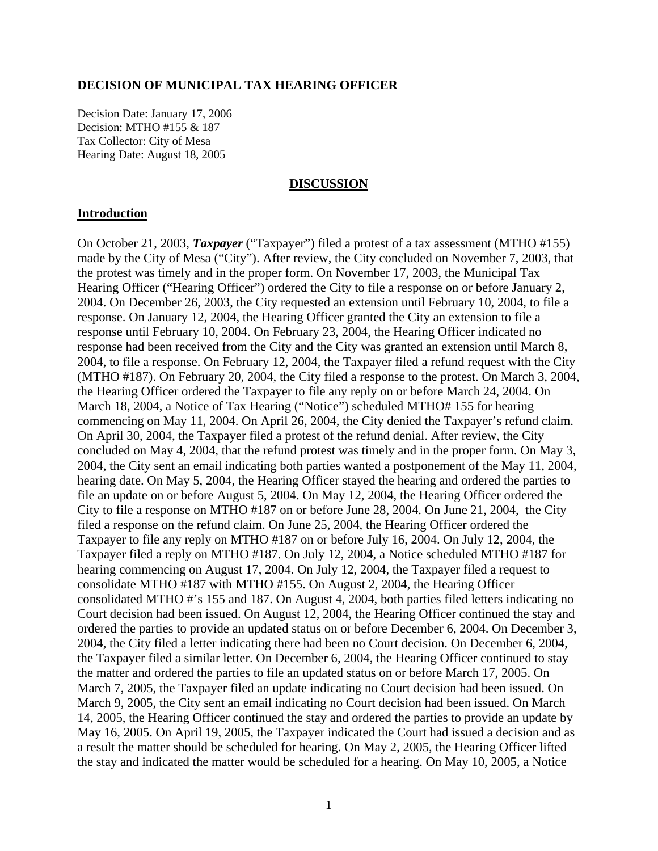### **DECISION OF MUNICIPAL TAX HEARING OFFICER**

Decision Date: January 17, 2006 Decision: MTHO #155 & 187 Tax Collector: City of Mesa Hearing Date: August 18, 2005

### **DISCUSSION**

#### **Introduction**

On October 21, 2003, *Taxpayer* ("Taxpayer") filed a protest of a tax assessment (MTHO #155) made by the City of Mesa ("City"). After review, the City concluded on November 7, 2003, that the protest was timely and in the proper form. On November 17, 2003, the Municipal Tax Hearing Officer ("Hearing Officer") ordered the City to file a response on or before January 2, 2004. On December 26, 2003, the City requested an extension until February 10, 2004, to file a response. On January 12, 2004, the Hearing Officer granted the City an extension to file a response until February 10, 2004. On February 23, 2004, the Hearing Officer indicated no response had been received from the City and the City was granted an extension until March 8, 2004, to file a response. On February 12, 2004, the Taxpayer filed a refund request with the City (MTHO #187). On February 20, 2004, the City filed a response to the protest. On March 3, 2004, the Hearing Officer ordered the Taxpayer to file any reply on or before March 24, 2004. On March 18, 2004, a Notice of Tax Hearing ("Notice") scheduled MTHO# 155 for hearing commencing on May 11, 2004. On April 26, 2004, the City denied the Taxpayer's refund claim. On April 30, 2004, the Taxpayer filed a protest of the refund denial. After review, the City concluded on May 4, 2004, that the refund protest was timely and in the proper form. On May 3, 2004, the City sent an email indicating both parties wanted a postponement of the May 11, 2004, hearing date. On May 5, 2004, the Hearing Officer stayed the hearing and ordered the parties to file an update on or before August 5, 2004. On May 12, 2004, the Hearing Officer ordered the City to file a response on MTHO #187 on or before June 28, 2004. On June 21, 2004, the City filed a response on the refund claim. On June 25, 2004, the Hearing Officer ordered the Taxpayer to file any reply on MTHO #187 on or before July 16, 2004. On July 12, 2004, the Taxpayer filed a reply on MTHO #187. On July 12, 2004, a Notice scheduled MTHO #187 for hearing commencing on August 17, 2004. On July 12, 2004, the Taxpayer filed a request to consolidate MTHO #187 with MTHO #155. On August 2, 2004, the Hearing Officer consolidated MTHO #'s 155 and 187. On August 4, 2004, both parties filed letters indicating no Court decision had been issued. On August 12, 2004, the Hearing Officer continued the stay and ordered the parties to provide an updated status on or before December 6, 2004. On December 3, 2004, the City filed a letter indicating there had been no Court decision. On December 6, 2004, the Taxpayer filed a similar letter. On December 6, 2004, the Hearing Officer continued to stay the matter and ordered the parties to file an updated status on or before March 17, 2005. On March 7, 2005, the Taxpayer filed an update indicating no Court decision had been issued. On March 9, 2005, the City sent an email indicating no Court decision had been issued. On March 14, 2005, the Hearing Officer continued the stay and ordered the parties to provide an update by May 16, 2005. On April 19, 2005, the Taxpayer indicated the Court had issued a decision and as a result the matter should be scheduled for hearing. On May 2, 2005, the Hearing Officer lifted the stay and indicated the matter would be scheduled for a hearing. On May 10, 2005, a Notice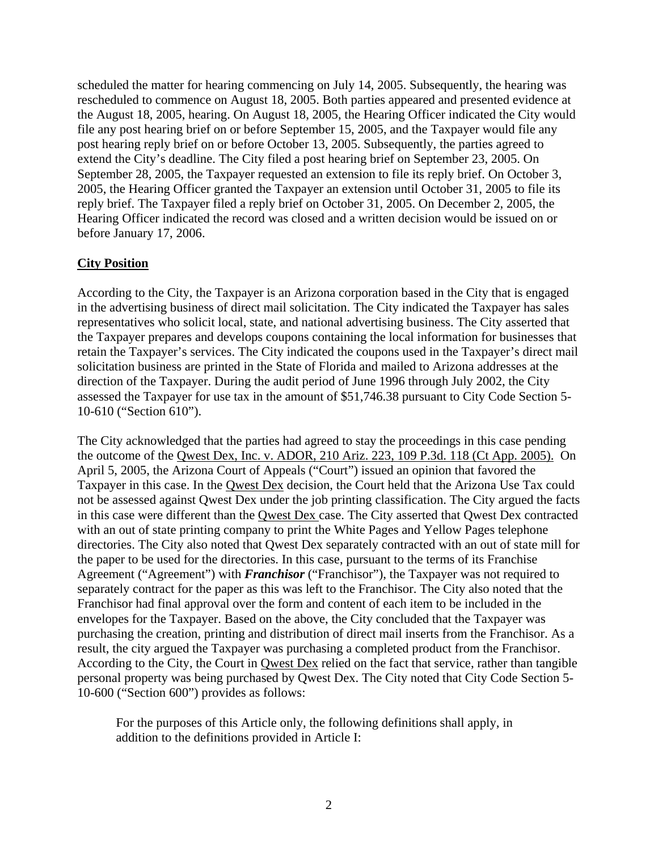scheduled the matter for hearing commencing on July 14, 2005. Subsequently, the hearing was rescheduled to commence on August 18, 2005. Both parties appeared and presented evidence at the August 18, 2005, hearing. On August 18, 2005, the Hearing Officer indicated the City would file any post hearing brief on or before September 15, 2005, and the Taxpayer would file any post hearing reply brief on or before October 13, 2005. Subsequently, the parties agreed to extend the City's deadline. The City filed a post hearing brief on September 23, 2005. On September 28, 2005, the Taxpayer requested an extension to file its reply brief. On October 3, 2005, the Hearing Officer granted the Taxpayer an extension until October 31, 2005 to file its reply brief. The Taxpayer filed a reply brief on October 31, 2005. On December 2, 2005, the Hearing Officer indicated the record was closed and a written decision would be issued on or before January 17, 2006.

## **City Position**

According to the City, the Taxpayer is an Arizona corporation based in the City that is engaged in the advertising business of direct mail solicitation. The City indicated the Taxpayer has sales representatives who solicit local, state, and national advertising business. The City asserted that the Taxpayer prepares and develops coupons containing the local information for businesses that retain the Taxpayer's services. The City indicated the coupons used in the Taxpayer's direct mail solicitation business are printed in the State of Florida and mailed to Arizona addresses at the direction of the Taxpayer. During the audit period of June 1996 through July 2002, the City assessed the Taxpayer for use tax in the amount of \$51,746.38 pursuant to City Code Section 5- 10-610 ("Section 610").

The City acknowledged that the parties had agreed to stay the proceedings in this case pending the outcome of the Qwest Dex, Inc. v. ADOR, 210 Ariz. 223, 109 P.3d. 118 (Ct App. 2005). On April 5, 2005, the Arizona Court of Appeals ("Court") issued an opinion that favored the Taxpayer in this case. In the Qwest Dex decision, the Court held that the Arizona Use Tax could not be assessed against Qwest Dex under the job printing classification. The City argued the facts in this case were different than the Qwest Dex case. The City asserted that Qwest Dex contracted with an out of state printing company to print the White Pages and Yellow Pages telephone directories. The City also noted that Qwest Dex separately contracted with an out of state mill for the paper to be used for the directories. In this case, pursuant to the terms of its Franchise Agreement ("Agreement") with *Franchisor* ("Franchisor"), the Taxpayer was not required to separately contract for the paper as this was left to the Franchisor. The City also noted that the Franchisor had final approval over the form and content of each item to be included in the envelopes for the Taxpayer. Based on the above, the City concluded that the Taxpayer was purchasing the creation, printing and distribution of direct mail inserts from the Franchisor. As a result, the city argued the Taxpayer was purchasing a completed product from the Franchisor. According to the City, the Court in Qwest Dex relied on the fact that service, rather than tangible personal property was being purchased by Qwest Dex. The City noted that City Code Section 5- 10-600 ("Section 600") provides as follows:

For the purposes of this Article only, the following definitions shall apply, in addition to the definitions provided in Article I: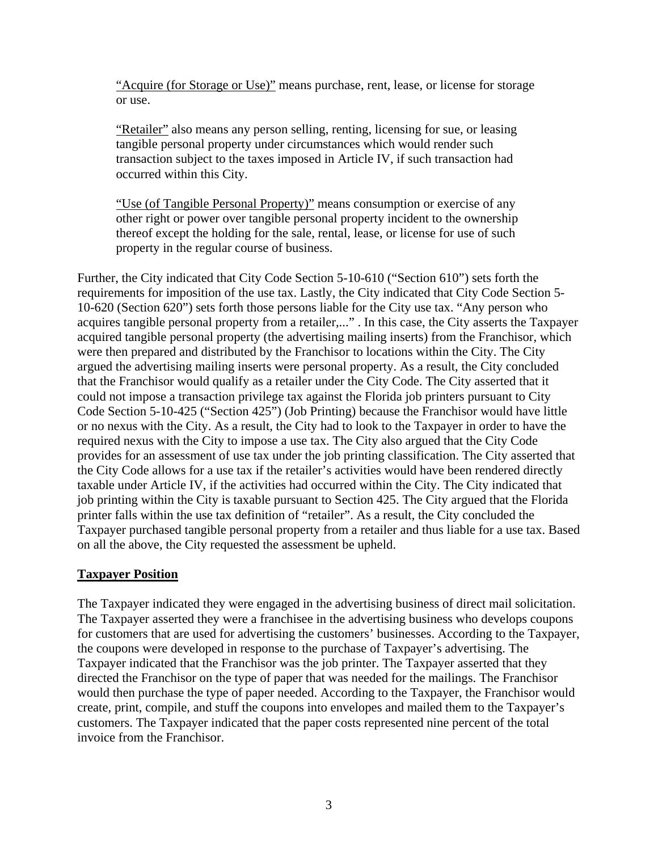"Acquire (for Storage or Use)" means purchase, rent, lease, or license for storage or use.

"Retailer" also means any person selling, renting, licensing for sue, or leasing tangible personal property under circumstances which would render such transaction subject to the taxes imposed in Article IV, if such transaction had occurred within this City.

"Use (of Tangible Personal Property)" means consumption or exercise of any other right or power over tangible personal property incident to the ownership thereof except the holding for the sale, rental, lease, or license for use of such property in the regular course of business.

Further, the City indicated that City Code Section 5-10-610 ("Section 610") sets forth the requirements for imposition of the use tax. Lastly, the City indicated that City Code Section 5- 10-620 (Section 620") sets forth those persons liable for the City use tax. "Any person who acquires tangible personal property from a retailer,..." . In this case, the City asserts the Taxpayer acquired tangible personal property (the advertising mailing inserts) from the Franchisor, which were then prepared and distributed by the Franchisor to locations within the City. The City argued the advertising mailing inserts were personal property. As a result, the City concluded that the Franchisor would qualify as a retailer under the City Code. The City asserted that it could not impose a transaction privilege tax against the Florida job printers pursuant to City Code Section 5-10-425 ("Section 425") (Job Printing) because the Franchisor would have little or no nexus with the City. As a result, the City had to look to the Taxpayer in order to have the required nexus with the City to impose a use tax. The City also argued that the City Code provides for an assessment of use tax under the job printing classification. The City asserted that the City Code allows for a use tax if the retailer's activities would have been rendered directly taxable under Article IV, if the activities had occurred within the City. The City indicated that job printing within the City is taxable pursuant to Section 425. The City argued that the Florida printer falls within the use tax definition of "retailer". As a result, the City concluded the Taxpayer purchased tangible personal property from a retailer and thus liable for a use tax. Based on all the above, the City requested the assessment be upheld.

# **Taxpayer Position**

The Taxpayer indicated they were engaged in the advertising business of direct mail solicitation. The Taxpayer asserted they were a franchisee in the advertising business who develops coupons for customers that are used for advertising the customers' businesses. According to the Taxpayer, the coupons were developed in response to the purchase of Taxpayer's advertising. The Taxpayer indicated that the Franchisor was the job printer. The Taxpayer asserted that they directed the Franchisor on the type of paper that was needed for the mailings. The Franchisor would then purchase the type of paper needed. According to the Taxpayer, the Franchisor would create, print, compile, and stuff the coupons into envelopes and mailed them to the Taxpayer's customers. The Taxpayer indicated that the paper costs represented nine percent of the total invoice from the Franchisor.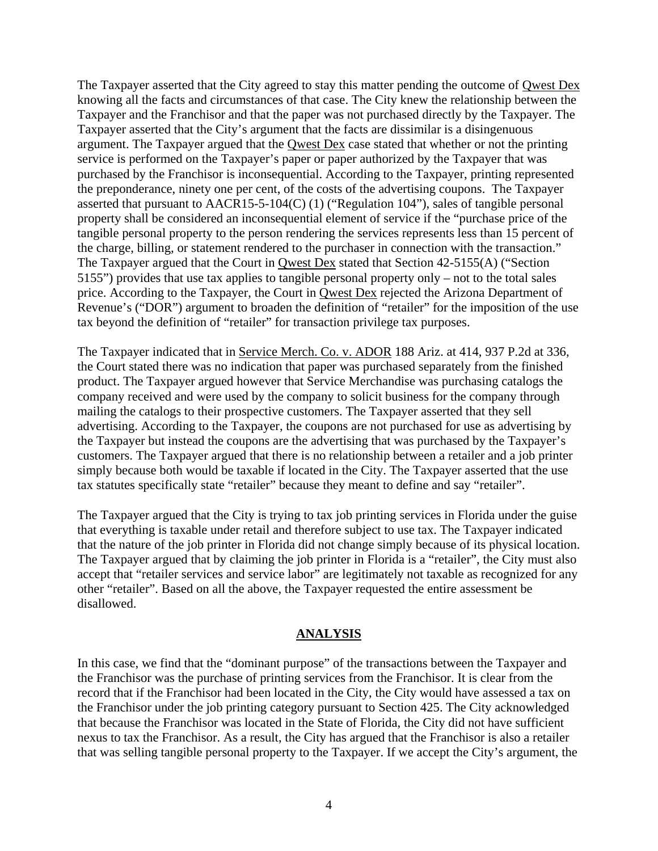The Taxpayer asserted that the City agreed to stay this matter pending the outcome of Qwest Dex knowing all the facts and circumstances of that case. The City knew the relationship between the Taxpayer and the Franchisor and that the paper was not purchased directly by the Taxpayer. The Taxpayer asserted that the City's argument that the facts are dissimilar is a disingenuous argument. The Taxpayer argued that the Qwest Dex case stated that whether or not the printing service is performed on the Taxpayer's paper or paper authorized by the Taxpayer that was purchased by the Franchisor is inconsequential. According to the Taxpayer, printing represented the preponderance, ninety one per cent, of the costs of the advertising coupons. The Taxpayer asserted that pursuant to AACR15-5-104(C) (1) ("Regulation 104"), sales of tangible personal property shall be considered an inconsequential element of service if the "purchase price of the tangible personal property to the person rendering the services represents less than 15 percent of the charge, billing, or statement rendered to the purchaser in connection with the transaction." The Taxpayer argued that the Court in Qwest Dex stated that Section 42-5155(A) ("Section 5155") provides that use tax applies to tangible personal property only – not to the total sales price. According to the Taxpayer, the Court in Qwest Dex rejected the Arizona Department of Revenue's ("DOR") argument to broaden the definition of "retailer" for the imposition of the use tax beyond the definition of "retailer" for transaction privilege tax purposes.

The Taxpayer indicated that in Service Merch. Co. v. ADOR 188 Ariz. at 414, 937 P.2d at 336, the Court stated there was no indication that paper was purchased separately from the finished product. The Taxpayer argued however that Service Merchandise was purchasing catalogs the company received and were used by the company to solicit business for the company through mailing the catalogs to their prospective customers. The Taxpayer asserted that they sell advertising. According to the Taxpayer, the coupons are not purchased for use as advertising by the Taxpayer but instead the coupons are the advertising that was purchased by the Taxpayer's customers. The Taxpayer argued that there is no relationship between a retailer and a job printer simply because both would be taxable if located in the City. The Taxpayer asserted that the use tax statutes specifically state "retailer" because they meant to define and say "retailer".

The Taxpayer argued that the City is trying to tax job printing services in Florida under the guise that everything is taxable under retail and therefore subject to use tax. The Taxpayer indicated that the nature of the job printer in Florida did not change simply because of its physical location. The Taxpayer argued that by claiming the job printer in Florida is a "retailer", the City must also accept that "retailer services and service labor" are legitimately not taxable as recognized for any other "retailer". Based on all the above, the Taxpayer requested the entire assessment be disallowed.

## **ANALYSIS**

In this case, we find that the "dominant purpose" of the transactions between the Taxpayer and the Franchisor was the purchase of printing services from the Franchisor. It is clear from the record that if the Franchisor had been located in the City, the City would have assessed a tax on the Franchisor under the job printing category pursuant to Section 425. The City acknowledged that because the Franchisor was located in the State of Florida, the City did not have sufficient nexus to tax the Franchisor. As a result, the City has argued that the Franchisor is also a retailer that was selling tangible personal property to the Taxpayer. If we accept the City's argument, the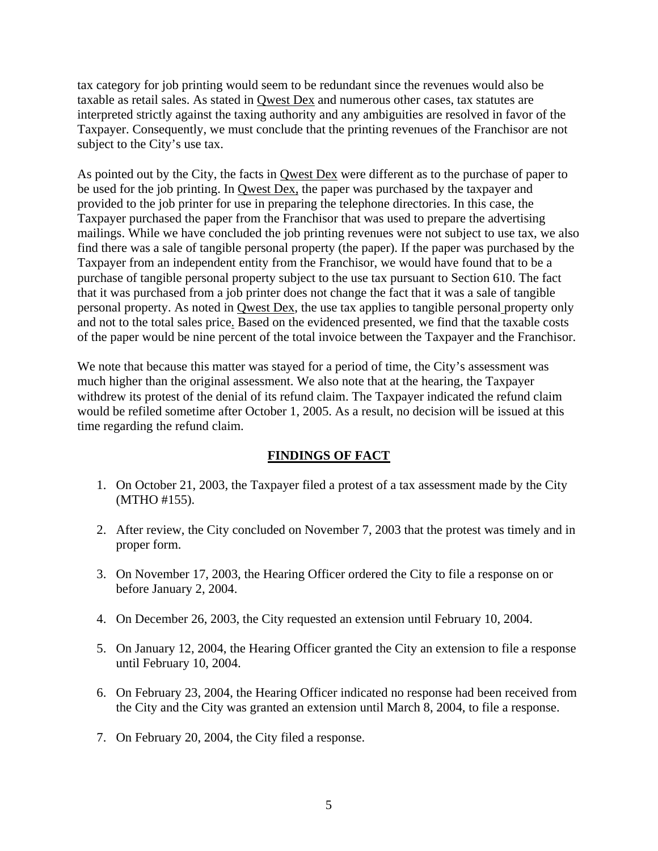tax category for job printing would seem to be redundant since the revenues would also be taxable as retail sales. As stated in Qwest Dex and numerous other cases, tax statutes are interpreted strictly against the taxing authority and any ambiguities are resolved in favor of the Taxpayer. Consequently, we must conclude that the printing revenues of the Franchisor are not subject to the City's use tax.

As pointed out by the City, the facts in Qwest Dex were different as to the purchase of paper to be used for the job printing. In Qwest Dex, the paper was purchased by the taxpayer and provided to the job printer for use in preparing the telephone directories. In this case, the Taxpayer purchased the paper from the Franchisor that was used to prepare the advertising mailings. While we have concluded the job printing revenues were not subject to use tax, we also find there was a sale of tangible personal property (the paper). If the paper was purchased by the Taxpayer from an independent entity from the Franchisor, we would have found that to be a purchase of tangible personal property subject to the use tax pursuant to Section 610. The fact that it was purchased from a job printer does not change the fact that it was a sale of tangible personal property. As noted in Qwest Dex, the use tax applies to tangible personal property only and not to the total sales price. Based on the evidenced presented, we find that the taxable costs of the paper would be nine percent of the total invoice between the Taxpayer and the Franchisor.

We note that because this matter was stayed for a period of time, the City's assessment was much higher than the original assessment. We also note that at the hearing, the Taxpayer withdrew its protest of the denial of its refund claim. The Taxpayer indicated the refund claim would be refiled sometime after October 1, 2005. As a result, no decision will be issued at this time regarding the refund claim.

## **FINDINGS OF FACT**

- 1. On October 21, 2003, the Taxpayer filed a protest of a tax assessment made by the City (MTHO #155).
- 2. After review, the City concluded on November 7, 2003 that the protest was timely and in proper form.
- 3. On November 17, 2003, the Hearing Officer ordered the City to file a response on or before January 2, 2004.
- 4. On December 26, 2003, the City requested an extension until February 10, 2004.
- 5. On January 12, 2004, the Hearing Officer granted the City an extension to file a response until February 10, 2004.
- 6. On February 23, 2004, the Hearing Officer indicated no response had been received from the City and the City was granted an extension until March 8, 2004, to file a response.
- 7. On February 20, 2004, the City filed a response.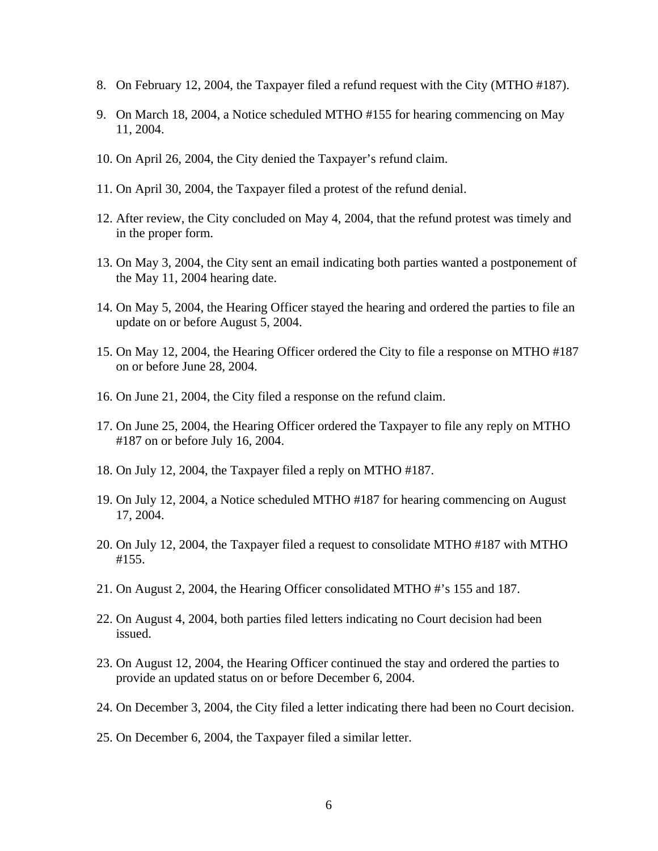- 8. On February 12, 2004, the Taxpayer filed a refund request with the City (MTHO #187).
- 9. On March 18, 2004, a Notice scheduled MTHO #155 for hearing commencing on May 11, 2004.
- 10. On April 26, 2004, the City denied the Taxpayer's refund claim.
- 11. On April 30, 2004, the Taxpayer filed a protest of the refund denial.
- 12. After review, the City concluded on May 4, 2004, that the refund protest was timely and in the proper form.
- 13. On May 3, 2004, the City sent an email indicating both parties wanted a postponement of the May 11, 2004 hearing date.
- 14. On May 5, 2004, the Hearing Officer stayed the hearing and ordered the parties to file an update on or before August 5, 2004.
- 15. On May 12, 2004, the Hearing Officer ordered the City to file a response on MTHO #187 on or before June 28, 2004.
- 16. On June 21, 2004, the City filed a response on the refund claim.
- 17. On June 25, 2004, the Hearing Officer ordered the Taxpayer to file any reply on MTHO #187 on or before July 16, 2004.
- 18. On July 12, 2004, the Taxpayer filed a reply on MTHO #187.
- 19. On July 12, 2004, a Notice scheduled MTHO #187 for hearing commencing on August 17, 2004.
- 20. On July 12, 2004, the Taxpayer filed a request to consolidate MTHO #187 with MTHO #155.
- 21. On August 2, 2004, the Hearing Officer consolidated MTHO #'s 155 and 187.
- 22. On August 4, 2004, both parties filed letters indicating no Court decision had been issued.
- 23. On August 12, 2004, the Hearing Officer continued the stay and ordered the parties to provide an updated status on or before December 6, 2004.
- 24. On December 3, 2004, the City filed a letter indicating there had been no Court decision.
- 25. On December 6, 2004, the Taxpayer filed a similar letter.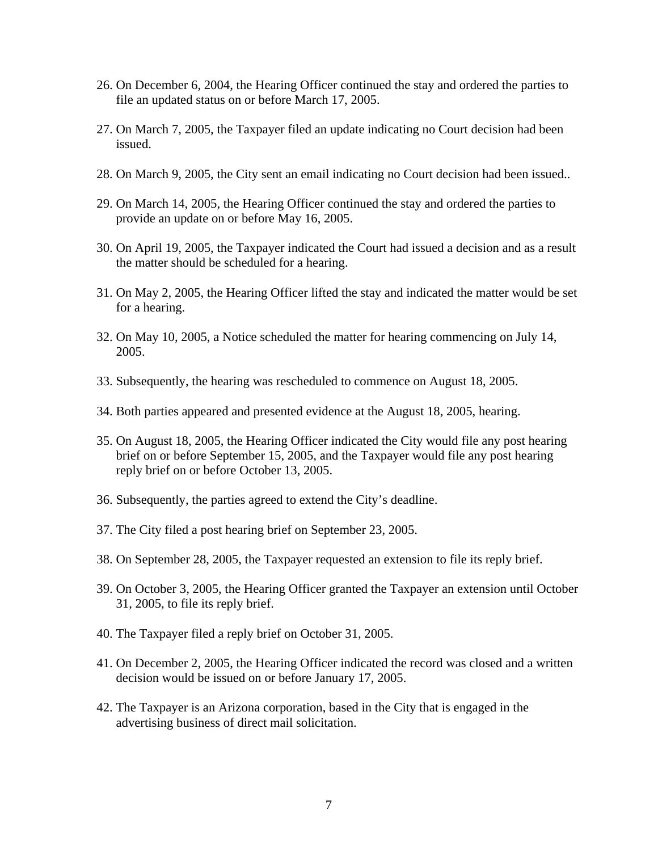- 26. On December 6, 2004, the Hearing Officer continued the stay and ordered the parties to file an updated status on or before March 17, 2005.
- 27. On March 7, 2005, the Taxpayer filed an update indicating no Court decision had been issued.
- 28. On March 9, 2005, the City sent an email indicating no Court decision had been issued..
- 29. On March 14, 2005, the Hearing Officer continued the stay and ordered the parties to provide an update on or before May 16, 2005.
- 30. On April 19, 2005, the Taxpayer indicated the Court had issued a decision and as a result the matter should be scheduled for a hearing.
- 31. On May 2, 2005, the Hearing Officer lifted the stay and indicated the matter would be set for a hearing.
- 32. On May 10, 2005, a Notice scheduled the matter for hearing commencing on July 14, 2005.
- 33. Subsequently, the hearing was rescheduled to commence on August 18, 2005.
- 34. Both parties appeared and presented evidence at the August 18, 2005, hearing.
- 35. On August 18, 2005, the Hearing Officer indicated the City would file any post hearing brief on or before September 15, 2005, and the Taxpayer would file any post hearing reply brief on or before October 13, 2005.
- 36. Subsequently, the parties agreed to extend the City's deadline.
- 37. The City filed a post hearing brief on September 23, 2005.
- 38. On September 28, 2005, the Taxpayer requested an extension to file its reply brief.
- 39. On October 3, 2005, the Hearing Officer granted the Taxpayer an extension until October 31, 2005, to file its reply brief.
- 40. The Taxpayer filed a reply brief on October 31, 2005.
- 41. On December 2, 2005, the Hearing Officer indicated the record was closed and a written decision would be issued on or before January 17, 2005.
- 42. The Taxpayer is an Arizona corporation, based in the City that is engaged in the advertising business of direct mail solicitation.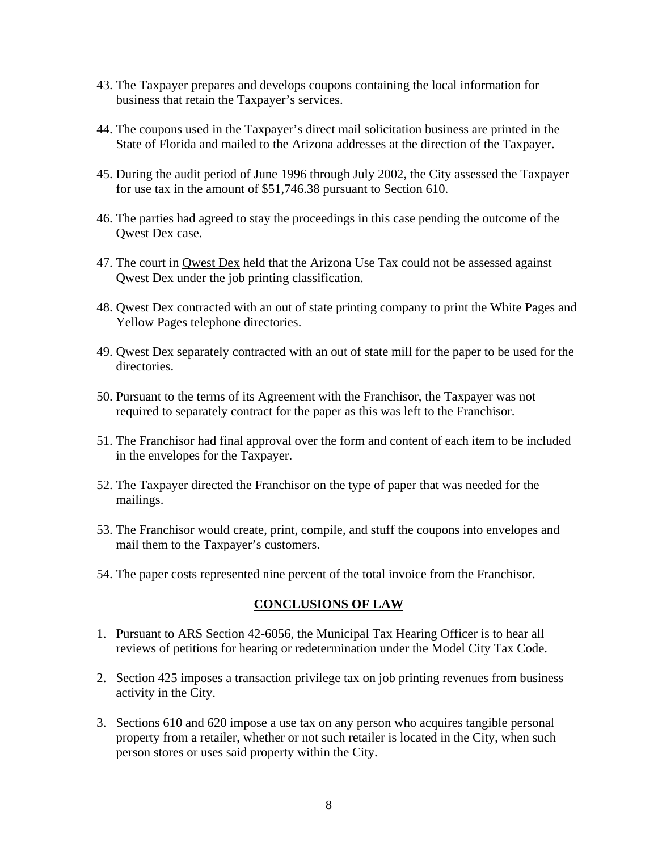- 43. The Taxpayer prepares and develops coupons containing the local information for business that retain the Taxpayer's services.
- 44. The coupons used in the Taxpayer's direct mail solicitation business are printed in the State of Florida and mailed to the Arizona addresses at the direction of the Taxpayer.
- 45. During the audit period of June 1996 through July 2002, the City assessed the Taxpayer for use tax in the amount of \$51,746.38 pursuant to Section 610.
- 46. The parties had agreed to stay the proceedings in this case pending the outcome of the Qwest Dex case.
- 47. The court in Qwest Dex held that the Arizona Use Tax could not be assessed against Qwest Dex under the job printing classification.
- 48. Qwest Dex contracted with an out of state printing company to print the White Pages and Yellow Pages telephone directories.
- 49. Qwest Dex separately contracted with an out of state mill for the paper to be used for the directories.
- 50. Pursuant to the terms of its Agreement with the Franchisor, the Taxpayer was not required to separately contract for the paper as this was left to the Franchisor.
- 51. The Franchisor had final approval over the form and content of each item to be included in the envelopes for the Taxpayer.
- 52. The Taxpayer directed the Franchisor on the type of paper that was needed for the mailings.
- 53. The Franchisor would create, print, compile, and stuff the coupons into envelopes and mail them to the Taxpayer's customers.
- 54. The paper costs represented nine percent of the total invoice from the Franchisor.

## **CONCLUSIONS OF LAW**

- 1. Pursuant to ARS Section 42-6056, the Municipal Tax Hearing Officer is to hear all reviews of petitions for hearing or redetermination under the Model City Tax Code.
- 2. Section 425 imposes a transaction privilege tax on job printing revenues from business activity in the City.
- 3. Sections 610 and 620 impose a use tax on any person who acquires tangible personal property from a retailer, whether or not such retailer is located in the City, when such person stores or uses said property within the City.